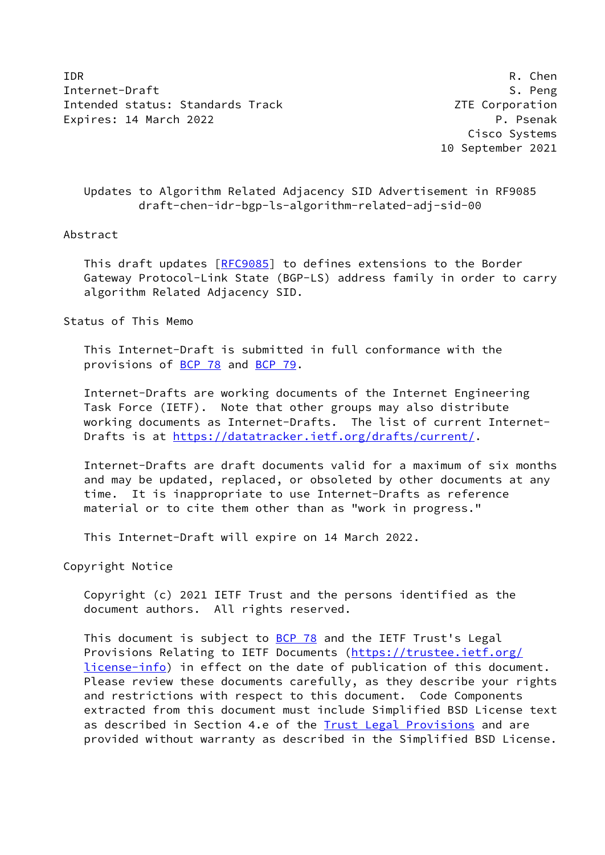IDR R. Chen Internet-Draft S. Peng Intended status: Standards Track Corporation 2TE Corporation Expires: 14 March 2022 **P. Particular Expires: 14 March 2022** 

 Cisco Systems 10 September 2021

# Updates to Algorithm Related Adjacency SID Advertisement in RF9085 draft-chen-idr-bgp-ls-algorithm-related-adj-sid-00

### Abstract

This draft updates [[RFC9085\]](https://datatracker.ietf.org/doc/pdf/rfc9085) to defines extensions to the Border Gateway Protocol-Link State (BGP-LS) address family in order to carry algorithm Related Adjacency SID.

Status of This Memo

 This Internet-Draft is submitted in full conformance with the provisions of [BCP 78](https://datatracker.ietf.org/doc/pdf/bcp78) and [BCP 79](https://datatracker.ietf.org/doc/pdf/bcp79).

 Internet-Drafts are working documents of the Internet Engineering Task Force (IETF). Note that other groups may also distribute working documents as Internet-Drafts. The list of current Internet- Drafts is at<https://datatracker.ietf.org/drafts/current/>.

 Internet-Drafts are draft documents valid for a maximum of six months and may be updated, replaced, or obsoleted by other documents at any time. It is inappropriate to use Internet-Drafts as reference material or to cite them other than as "work in progress."

This Internet-Draft will expire on 14 March 2022.

Copyright Notice

 Copyright (c) 2021 IETF Trust and the persons identified as the document authors. All rights reserved.

This document is subject to **[BCP 78](https://datatracker.ietf.org/doc/pdf/bcp78)** and the IETF Trust's Legal Provisions Relating to IETF Documents ([https://trustee.ietf.org/](https://trustee.ietf.org/license-info) [license-info](https://trustee.ietf.org/license-info)) in effect on the date of publication of this document. Please review these documents carefully, as they describe your rights and restrictions with respect to this document. Code Components extracted from this document must include Simplified BSD License text as described in Section 4.e of the [Trust Legal Provisions](https://trustee.ietf.org/license-info) and are provided without warranty as described in the Simplified BSD License.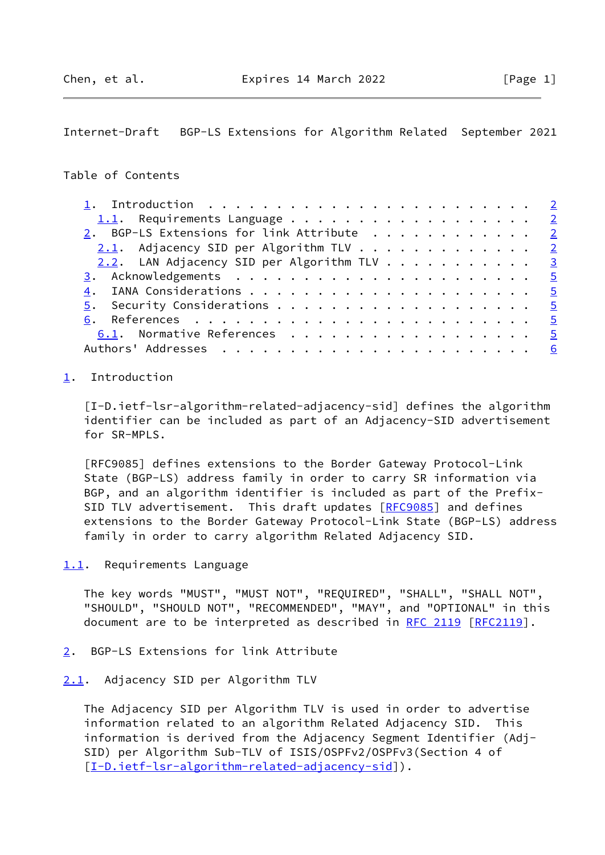<span id="page-1-1"></span>Internet-Draft BGP-LS Extensions for Algorithm Related September 2021

## Table of Contents

| 2. BGP-LS Extensions for link Attribute 2  |  |  |  |  |  |  |
|--------------------------------------------|--|--|--|--|--|--|
| 2.1. Adjacency SID per Algorithm TLV 2     |  |  |  |  |  |  |
| 2.2. LAN Adjacency SID per Algorithm TLV 3 |  |  |  |  |  |  |
|                                            |  |  |  |  |  |  |
|                                            |  |  |  |  |  |  |
|                                            |  |  |  |  |  |  |
|                                            |  |  |  |  |  |  |
| 6.1. Normative References 5                |  |  |  |  |  |  |
|                                            |  |  |  |  |  |  |

# <span id="page-1-0"></span>[1](#page-1-0). Introduction

<span id="page-1-5"></span>[I-D.ietf-lsr-algorithm-related-adjacency-sid] defines the algorithm identifier can be included as part of an Adjacency-SID advertisement for SR-MPLS.

 [RFC9085] defines extensions to the Border Gateway Protocol-Link State (BGP-LS) address family in order to carry SR information via BGP, and an algorithm identifier is included as part of the Prefix- SID TLV advertisement. This draft updates [[RFC9085\]](https://datatracker.ietf.org/doc/pdf/rfc9085) and defines extensions to the Border Gateway Protocol-Link State (BGP-LS) address family in order to carry algorithm Related Adjacency SID.

<span id="page-1-2"></span>[1.1](#page-1-2). Requirements Language

 The key words "MUST", "MUST NOT", "REQUIRED", "SHALL", "SHALL NOT", "SHOULD", "SHOULD NOT", "RECOMMENDED", "MAY", and "OPTIONAL" in this document are to be interpreted as described in [RFC 2119 \[RFC2119](https://datatracker.ietf.org/doc/pdf/rfc2119)].

<span id="page-1-3"></span>[2](#page-1-3). BGP-LS Extensions for link Attribute

#### <span id="page-1-4"></span>[2.1](#page-1-4). Adjacency SID per Algorithm TLV

 The Adjacency SID per Algorithm TLV is used in order to advertise information related to an algorithm Related Adjacency SID. This information is derived from the Adjacency Segment Identifier (Adj- SID) per Algorithm Sub-TLV of ISIS/OSPFv2/OSPFv3(Section 4 of [\[I-D.ietf-lsr-algorithm-related-adjacency-sid](#page-1-5)]).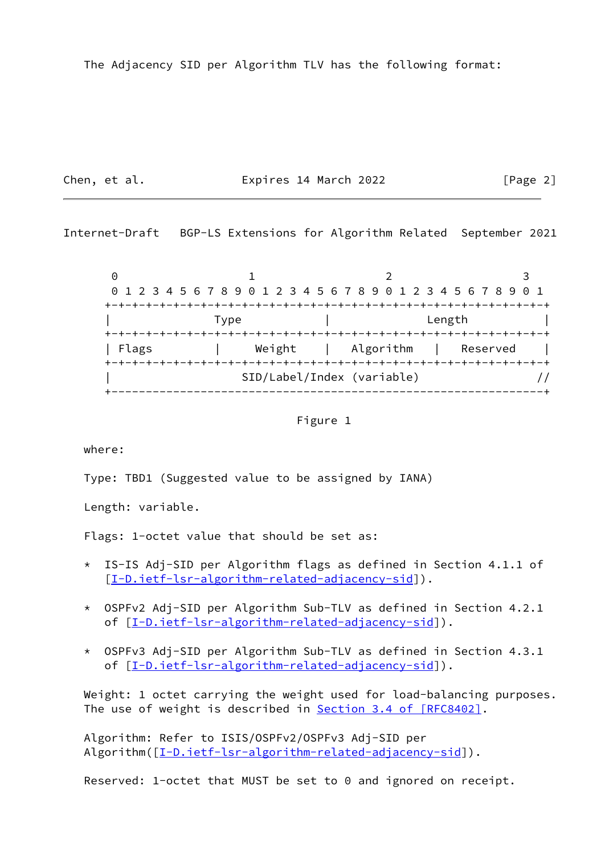Chen, et al. **Expires 14 March 2022** [Page 2]

<span id="page-2-0"></span>Internet-Draft BGP-LS Extensions for Algorithm Related September 2021

0 1 2 3 0 1 2 3 4 5 6 7 8 9 0 1 2 3 4 5 6 7 8 9 0 1 2 3 4 5 6 7 8 9 0 1 +-+-+-+-+-+-+-+-+-+-+-+-+-+-+-+-+-+-+-+-+-+-+-+-+-+-+-+-+-+-+-+-+ | Type | Length | +-+-+-+-+-+-+-+-+-+-+-+-+-+-+-+-+-+-+-+-+-+-+-+-+-+-+-+-+-+-+-+-+ | Flags | Weight | Algorithm | Reserved | +-+-+-+-+-+-+-+-+-+-+-+-+-+-+-+-+-+-+-+-+-+-+-+-+-+-+-+-+-+-+-+-+ | SID/Label/Index (variable) // +---------------------------------------------------------------+

Figure 1

where:

Type: TBD1 (Suggested value to be assigned by IANA)

Length: variable.

Flags: 1-octet value that should be set as:

- \* IS-IS Adj-SID per Algorithm flags as defined in Section 4.1.1 of [[I-D.ietf-lsr-algorithm-related-adjacency-sid\]](#page-1-5)).
- \* OSPFv2 Adj-SID per Algorithm Sub-TLV as defined in Section 4.2.1 of [[I-D.ietf-lsr-algorithm-related-adjacency-sid\]](#page-1-5)).
- \* OSPFv3 Adj-SID per Algorithm Sub-TLV as defined in Section 4.3.1 of  $[I-D.iett-lsr-algorithms-related-adjacency-sid]$ ).

Weight: 1 octet carrying the weight used for load-balancing purposes. The use of weight is described in Section [3.4 of \[RFC8402\]](https://datatracker.ietf.org/doc/pdf/rfc8402#section-3.4).

 Algorithm: Refer to ISIS/OSPFv2/OSPFv3 Adj-SID per Algorithm( $[I-D.iett-lsr-algorithms-related-adjacency-sid]$ ).

Reserved: 1-octet that MUST be set to 0 and ignored on receipt.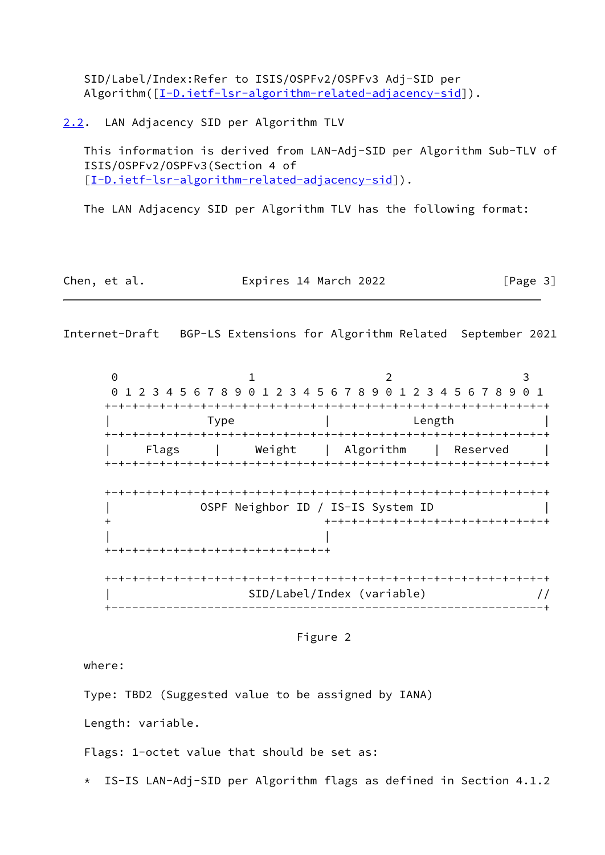SID/Label/Index:Refer to ISIS/OSPFv2/OSPFv3 Adj-SID per Algorithm( $[I-D.iett-lsr-algorithms-related-adiacency-sid]$ ).

<span id="page-3-0"></span>[2.2](#page-3-0). LAN Adjacency SID per Algorithm TLV

 This information is derived from LAN-Adj-SID per Algorithm Sub-TLV of ISIS/OSPFv2/OSPFv3(Section 4 of [\[I-D.ietf-lsr-algorithm-related-adjacency-sid](#page-1-5)]).

The LAN Adjacency SID per Algorithm TLV has the following format:

| Chen, et al. | Expires 14 March 2022 | [Page 3] |
|--------------|-----------------------|----------|
|--------------|-----------------------|----------|

Internet-Draft BGP-LS Extensions for Algorithm Related September 2021

0 1 2 3 0 1 2 3 4 5 6 7 8 9 0 1 2 3 4 5 6 7 8 9 0 1 2 3 4 5 6 7 8 9 0 1 +-+-+-+-+-+-+-+-+-+-+-+-+-+-+-+-+-+-+-+-+-+-+-+-+-+-+-+-+-+-+-+-+ | Type | Length | +-+-+-+-+-+-+-+-+-+-+-+-+-+-+-+-+-+-+-+-+-+-+-+-+-+-+-+-+-+-+-+-+ | Flags | Weight | Algorithm | Reserved | +-+-+-+-+-+-+-+-+-+-+-+-+-+-+-+-+-+-+-+-+-+-+-+-+-+-+-+-+-+-+-+-+ +-+-+-+-+-+-+-+-+-+-+-+-+-+-+-+-+-+-+-+-+-+-+-+-+-+-+-+-+-+-+-+-+ | OSPF Neighbor ID / IS-IS System ID | + +-+-+-+-+-+-+-+-+-+-+-+-+-+-+-+-+ | | +-+-+-+-+-+-+-+-+-+-+-+-+-+-+-+-+ +-+-+-+-+-+-+-+-+-+-+-+-+-+-+-+-+-+-+-+-+-+-+-+-+-+-+-+-+-+-+-+-+ | SID/Label/Index (variable) // +---------------------------------------------------------------+

Figure 2

where:

Type: TBD2 (Suggested value to be assigned by IANA)

Length: variable.

Flags: 1-octet value that should be set as:

\* IS-IS LAN-Adj-SID per Algorithm flags as defined in Section 4.1.2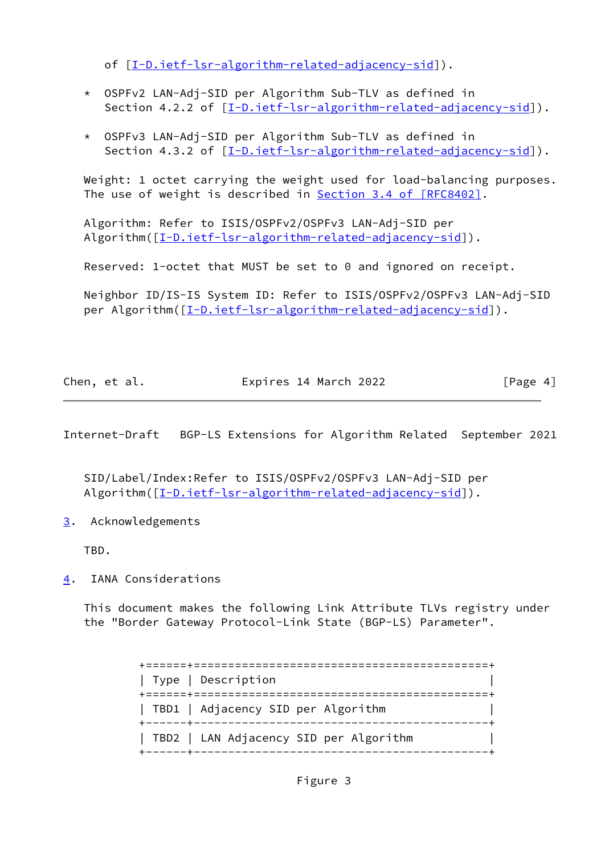of [[I-D.ietf-lsr-algorithm-related-adjacency-sid\]](#page-1-5)).

- \* OSPFv2 LAN-Adj-SID per Algorithm Sub-TLV as defined in Section 4.2.2 of [\[I-D.ietf-lsr-algorithm-related-adjacency-sid](#page-1-5)]).
- \* OSPFv3 LAN-Adj-SID per Algorithm Sub-TLV as defined in Section 4.3.2 of [\[I-D.ietf-lsr-algorithm-related-adjacency-sid](#page-1-5)]).

 Weight: 1 octet carrying the weight used for load-balancing purposes. The use of weight is described in Section [3.4 of \[RFC8402\]](https://datatracker.ietf.org/doc/pdf/rfc8402#section-3.4).

 Algorithm: Refer to ISIS/OSPFv2/OSPFv3 LAN-Adj-SID per Algorithm( $[I-D.iett-lsr-algorithms-related-adjacency-sid]$ ).

Reserved: 1-octet that MUST be set to 0 and ignored on receipt.

 Neighbor ID/IS-IS System ID: Refer to ISIS/OSPFv2/OSPFv3 LAN-Adj-SID per Algorithm( $[I-D.iett-lsr-algorithm-related-adjacency-sid]$ ).

| Chen, et al. | Expires 14 March 2022 | [Page 4] |
|--------------|-----------------------|----------|
|              |                       |          |

<span id="page-4-1"></span>Internet-Draft BGP-LS Extensions for Algorithm Related September 2021

 SID/Label/Index:Refer to ISIS/OSPFv2/OSPFv3 LAN-Adj-SID per Algorithm( $[\underline{I-D.iett-lsr-algorithms-related-adiacency-sid}]$ ).

<span id="page-4-0"></span>[3](#page-4-0). Acknowledgements

TBD.

<span id="page-4-2"></span>[4](#page-4-2). IANA Considerations

 This document makes the following Link Attribute TLVs registry under the "Border Gateway Protocol-Link State (BGP-LS) Parameter".

> +======+===========================================+ | Type | Description | +======+===========================================+ | TBD1 | Adjacency SID per Algorithm +------+-------------------------------------------+ | TBD2 | LAN Adjacency SID per Algorithm | +------+-------------------------------------------+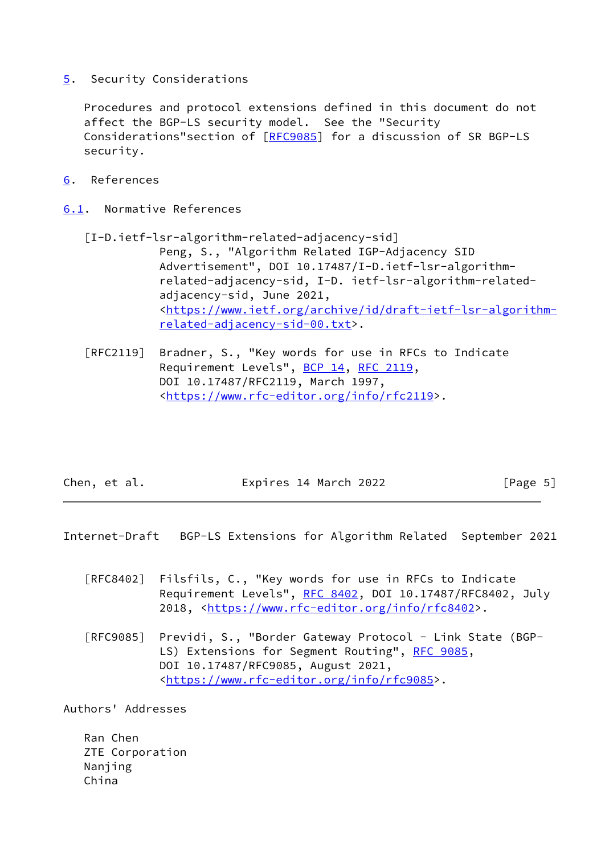<span id="page-5-0"></span>[5](#page-5-0). Security Considerations

 Procedures and protocol extensions defined in this document do not affect the BGP-LS security model. See the "Security Considerations"section of [[RFC9085](https://datatracker.ietf.org/doc/pdf/rfc9085)] for a discussion of SR BGP-LS security.

<span id="page-5-1"></span>[6](#page-5-1). References

<span id="page-5-2"></span>[6.1](#page-5-2). Normative References

- [I-D.ietf-lsr-algorithm-related-adjacency-sid] Peng, S., "Algorithm Related IGP-Adjacency SID Advertisement", DOI 10.17487/I-D.ietf-lsr-algorithm related-adjacency-sid, I-D. ietf-lsr-algorithm-related adjacency-sid, June 2021, <[https://www.ietf.org/archive/id/draft-ietf-lsr-algorithm](https://www.ietf.org/archive/id/draft-ietf-lsr-algorithm-related-adjacency-sid-00.txt) [related-adjacency-sid-00.txt>](https://www.ietf.org/archive/id/draft-ietf-lsr-algorithm-related-adjacency-sid-00.txt).
- [RFC2119] Bradner, S., "Key words for use in RFCs to Indicate Requirement Levels", [BCP 14](https://datatracker.ietf.org/doc/pdf/bcp14), [RFC 2119](https://datatracker.ietf.org/doc/pdf/rfc2119), DOI 10.17487/RFC2119, March 1997, <[https://www.rfc-editor.org/info/rfc2119>](https://www.rfc-editor.org/info/rfc2119).

| Chen, et al. | Expires 14 March 2022 | [Page 5] |  |
|--------------|-----------------------|----------|--|
|              |                       |          |  |

<span id="page-5-3"></span>Internet-Draft BGP-LS Extensions for Algorithm Related September 2021

- [RFC8402] Filsfils, C., "Key words for use in RFCs to Indicate Requirement Levels", [RFC 8402](https://datatracker.ietf.org/doc/pdf/rfc8402), DOI 10.17487/RFC8402, July 2018, [<https://www.rfc-editor.org/info/rfc8402](https://www.rfc-editor.org/info/rfc8402)>.
- [RFC9085] Previdi, S., "Border Gateway Protocol Link State (BGP- LS) Extensions for Segment Routing", [RFC 9085](https://datatracker.ietf.org/doc/pdf/rfc9085), DOI 10.17487/RFC9085, August 2021, <[https://www.rfc-editor.org/info/rfc9085>](https://www.rfc-editor.org/info/rfc9085).

Authors' Addresses

 Ran Chen ZTE Corporation Nanjing China